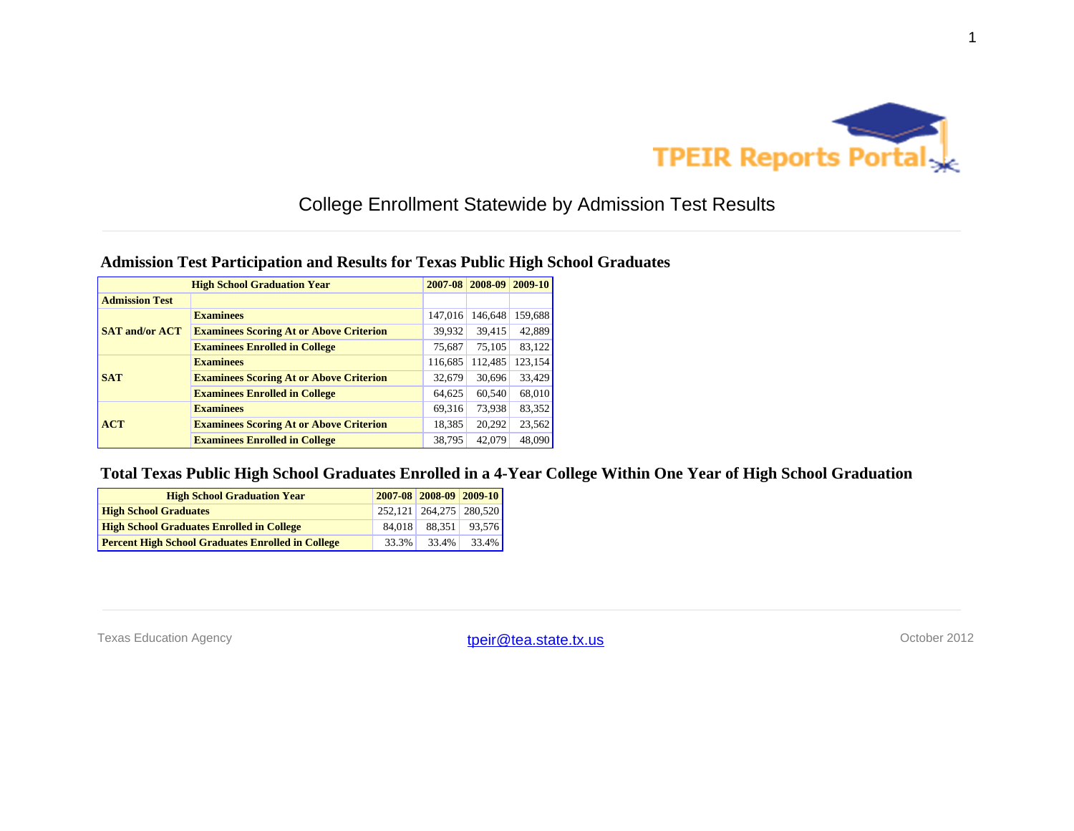

### **Admission Test Participation and Results for Texas Public High School Graduates**

| <b>High School Graduation Year</b> |                                                |         | 2007-08 2008-09 | 2009-10 |
|------------------------------------|------------------------------------------------|---------|-----------------|---------|
| <b>Admission Test</b>              |                                                |         |                 |         |
| <b>SAT and/or ACT</b>              | <b>Examinees</b>                               | 147,016 | 146,648         | 159,688 |
|                                    | <b>Examinees Scoring At or Above Criterion</b> | 39,932  | 39,415          | 42,889  |
|                                    | <b>Examinees Enrolled in College</b>           | 75,687  | 75,105          | 83,122  |
| <b>SAT</b>                         | <b>Examinees</b>                               | 116,685 | 112,485         | 123,154 |
|                                    | <b>Examinees Scoring At or Above Criterion</b> | 32,679  | 30,696          | 33,429  |
|                                    | <b>Examinees Enrolled in College</b>           | 64,625  | 60,540          | 68,010  |
| ACT                                | <b>Examinees</b>                               | 69,316  | 73,938          | 83,352  |
|                                    | <b>Examinees Scoring At or Above Criterion</b> | 18,385  | 20,292          | 23,562  |
|                                    | <b>Examinees Enrolled in College</b>           | 38,795  | 42,079          | 48,090  |

#### **Total Texas Public High School Graduates Enrolled in a 4-Year College Within One Year of High School Graduation**

| <b>High School Graduation Year</b>                       |  | 2007-08 2008-09 2009-10 |        |
|----------------------------------------------------------|--|-------------------------|--------|
| <b>High School Graduates</b>                             |  | 252.121 264.275 280.520 |        |
| <b>High School Graduates Enrolled in College</b>         |  | 84.018<br>88.351        | 93.576 |
| <b>Percent High School Graduates Enrolled in College</b> |  | 33.4%<br>33.3%          | 33.4%  |

Texas Education Agency **their@tea.state.tx.us** their control of the control of the control of the control of the control of the control of the control of the control of the control of the control of the control of the cont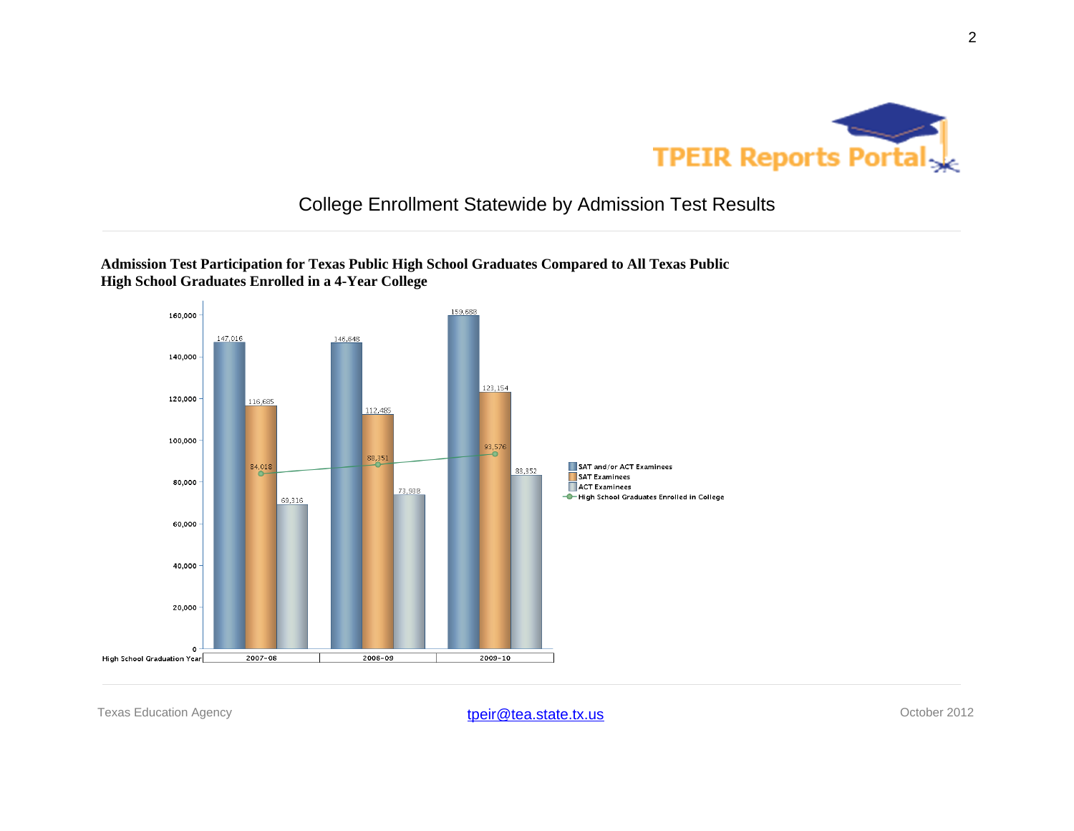



**Admission Test Participation for Texas Public High School Graduates Compared to All Texas Public High School Graduates Enrolled in a 4-Year College**

Texas Education Agency **their@tea.state.tx.us** their their their texas Education Agency october 2012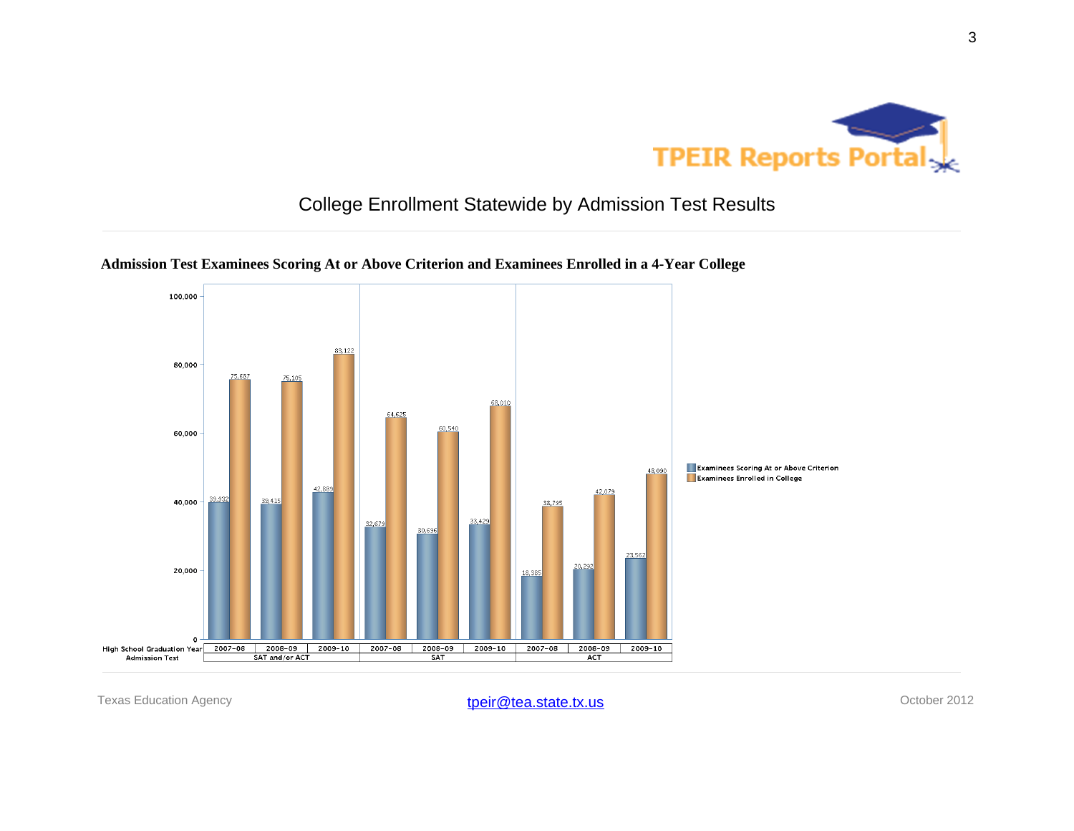



### **Admission Test Examinees Scoring At or Above Criterion and Examinees Enrolled in a 4-Year College**

Texas Education Agency **their@tea.state.tx.us** their of the state of the state of the state of the state of the state of the state of the state of the state of the state of the state of the state of the state of the state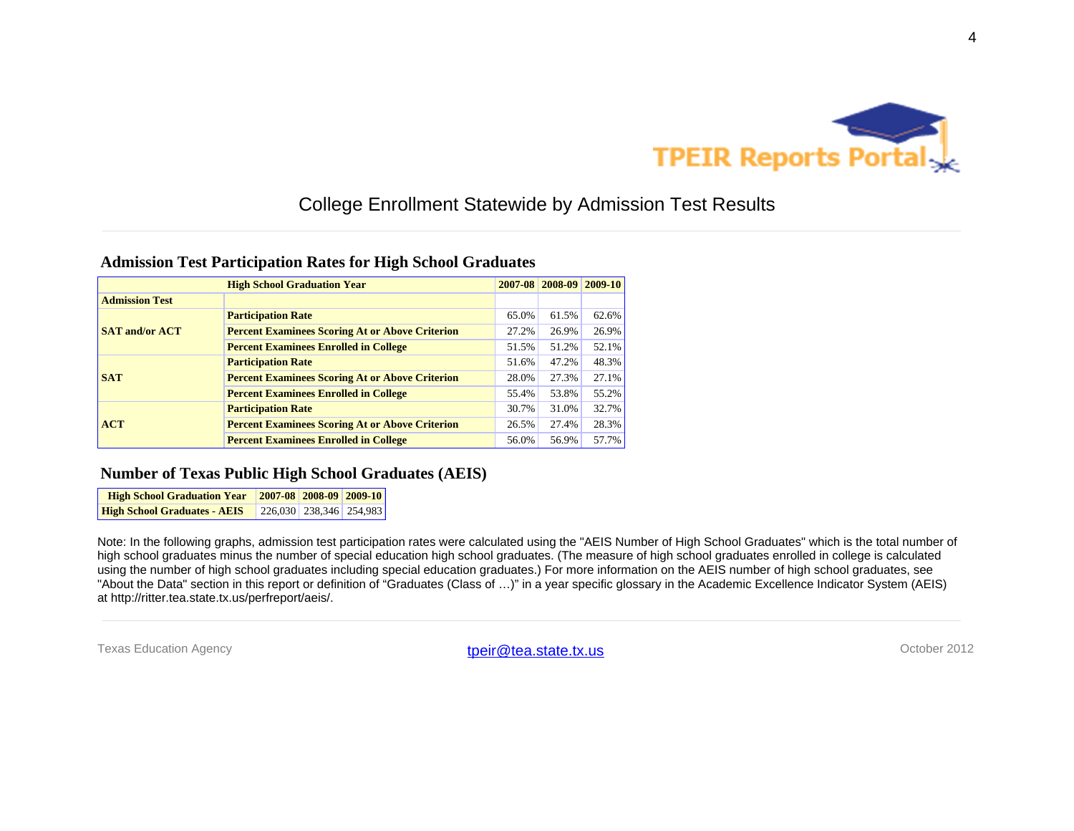

#### **Admission Test Participation Rates for High School Graduates**

|                       | <b>High School Graduation Year</b>                     |       | 2007-08 2008-09 2009-10 |       |
|-----------------------|--------------------------------------------------------|-------|-------------------------|-------|
| <b>Admission Test</b> |                                                        |       |                         |       |
| <b>SAT and/or ACT</b> | <b>Participation Rate</b>                              | 65.0% | 61.5%                   | 62.6% |
|                       | <b>Percent Examinees Scoring At or Above Criterion</b> | 27.2% | 26.9%                   | 26.9% |
|                       | <b>Percent Examinees Enrolled in College</b>           | 51.5% | 51.2%                   | 52.1% |
|                       | <b>Participation Rate</b>                              | 51.6% | 47.2%                   | 48.3% |
| <b>SAT</b>            | <b>Percent Examinees Scoring At or Above Criterion</b> | 28.0% | 27.3%                   | 27.1% |
|                       | <b>Percent Examinees Enrolled in College</b>           | 55.4% | 53.8%                   | 55.2% |
|                       | <b>Participation Rate</b>                              | 30.7% | 31.0%                   | 32.7% |
| <b>ACT</b>            | <b>Percent Examinees Scoring At or Above Criterion</b> | 26.5% | 27.4%                   | 28.3% |
|                       | <b>Percent Examinees Enrolled in College</b>           | 56.0% | 56.9%                   | 57.7% |

#### **Number of Texas Public High School Graduates (AEIS)**

**High School Graduation Year 2007-08 2008-09 2009-10 High School Graduates - AEIS** 226,030 238,346 254,983

Note: In the following graphs, admission test participation rates were calculated using the "AEIS Number of High School Graduates" which is the total number of high school graduates minus the number of special education high school graduates. (The measure of high school graduates enrolled in college is calculated using the number of high school graduates including special education graduates.) For more information on the AEIS number of high school graduates, see "About the Data" section in this report or definition of "Graduates (Class of …)" in a year specific glossary in the Academic Excellence Indicator System (AEIS) at http://ritter.tea.state.tx.us/perfreport/aeis/.

Texas Education Agency **their@tea.state.tx.us** their@tea.state.tx.us October 2012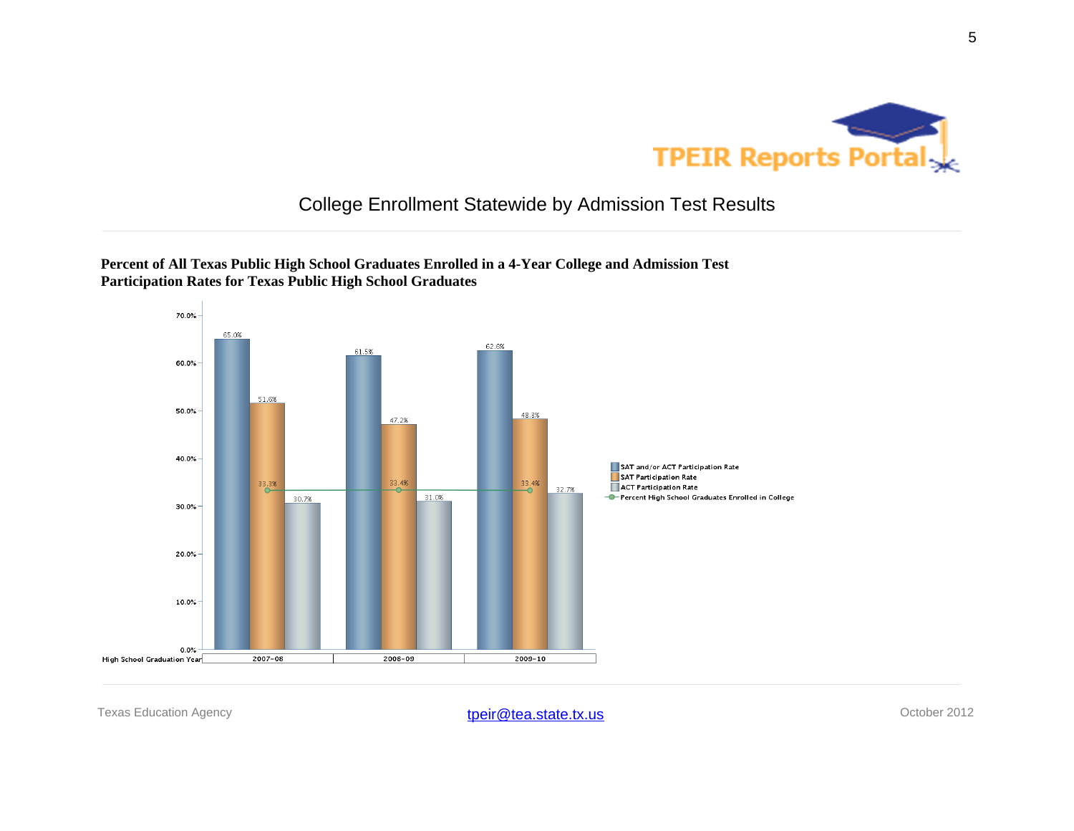



**Percent of All Texas Public High School Graduates Enrolled in a 4-Year College and Admission Test Participation Rates for Texas Public High School Graduates**

Texas Education Agency **their@tea.state.tx.us** their their their texas Education Agency october 2012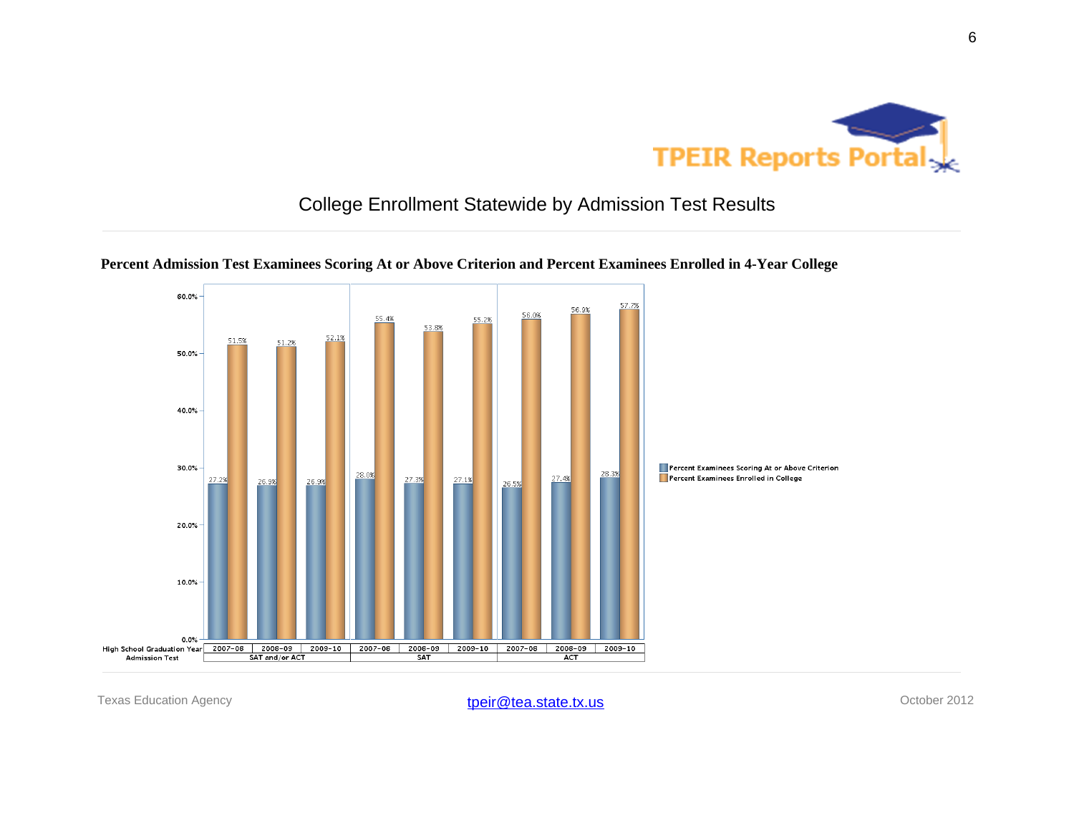



#### **Percent Admission Test Examinees Scoring At or Above Criterion and Percent Examinees Enrolled in 4-Year College**

Texas Education Agency **their@tea.state.tx.us** their their content of the Cotober 2012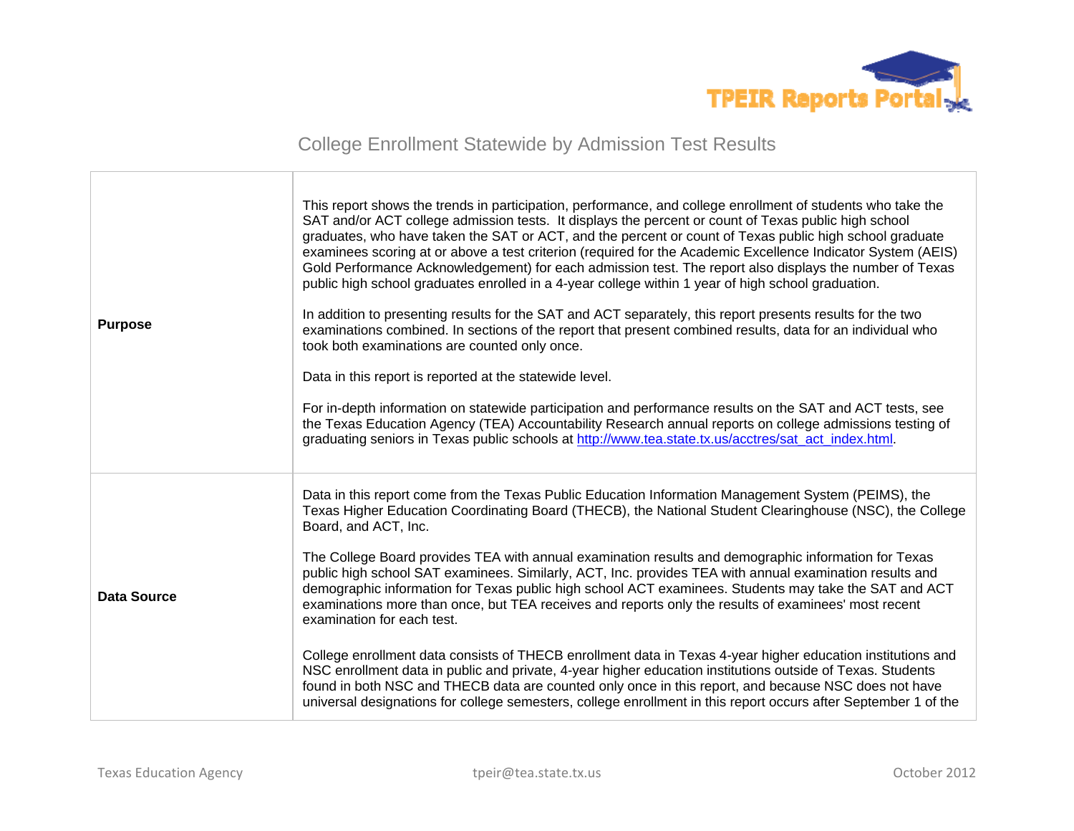

| <b>Purpose</b>     | This report shows the trends in participation, performance, and college enrollment of students who take the<br>SAT and/or ACT college admission tests. It displays the percent or count of Texas public high school<br>graduates, who have taken the SAT or ACT, and the percent or count of Texas public high school graduate<br>examinees scoring at or above a test criterion (required for the Academic Excellence Indicator System (AEIS)<br>Gold Performance Acknowledgement) for each admission test. The report also displays the number of Texas<br>public high school graduates enrolled in a 4-year college within 1 year of high school graduation.<br>In addition to presenting results for the SAT and ACT separately, this report presents results for the two<br>examinations combined. In sections of the report that present combined results, data for an individual who<br>took both examinations are counted only once.<br>Data in this report is reported at the statewide level.<br>For in-depth information on statewide participation and performance results on the SAT and ACT tests, see<br>the Texas Education Agency (TEA) Accountability Research annual reports on college admissions testing of<br>graduating seniors in Texas public schools at http://www.tea.state.tx.us/acctres/sat_act_index.html. |
|--------------------|------------------------------------------------------------------------------------------------------------------------------------------------------------------------------------------------------------------------------------------------------------------------------------------------------------------------------------------------------------------------------------------------------------------------------------------------------------------------------------------------------------------------------------------------------------------------------------------------------------------------------------------------------------------------------------------------------------------------------------------------------------------------------------------------------------------------------------------------------------------------------------------------------------------------------------------------------------------------------------------------------------------------------------------------------------------------------------------------------------------------------------------------------------------------------------------------------------------------------------------------------------------------------------------------------------------------------------------|
| <b>Data Source</b> | Data in this report come from the Texas Public Education Information Management System (PEIMS), the<br>Texas Higher Education Coordinating Board (THECB), the National Student Clearinghouse (NSC), the College<br>Board, and ACT, Inc.<br>The College Board provides TEA with annual examination results and demographic information for Texas<br>public high school SAT examinees. Similarly, ACT, Inc. provides TEA with annual examination results and<br>demographic information for Texas public high school ACT examinees. Students may take the SAT and ACT<br>examinations more than once, but TEA receives and reports only the results of examinees' most recent<br>examination for each test.<br>College enrollment data consists of THECB enrollment data in Texas 4-year higher education institutions and<br>NSC enrollment data in public and private, 4-year higher education institutions outside of Texas. Students<br>found in both NSC and THECB data are counted only once in this report, and because NSC does not have<br>universal designations for college semesters, college enrollment in this report occurs after September 1 of the                                                                                                                                                                        |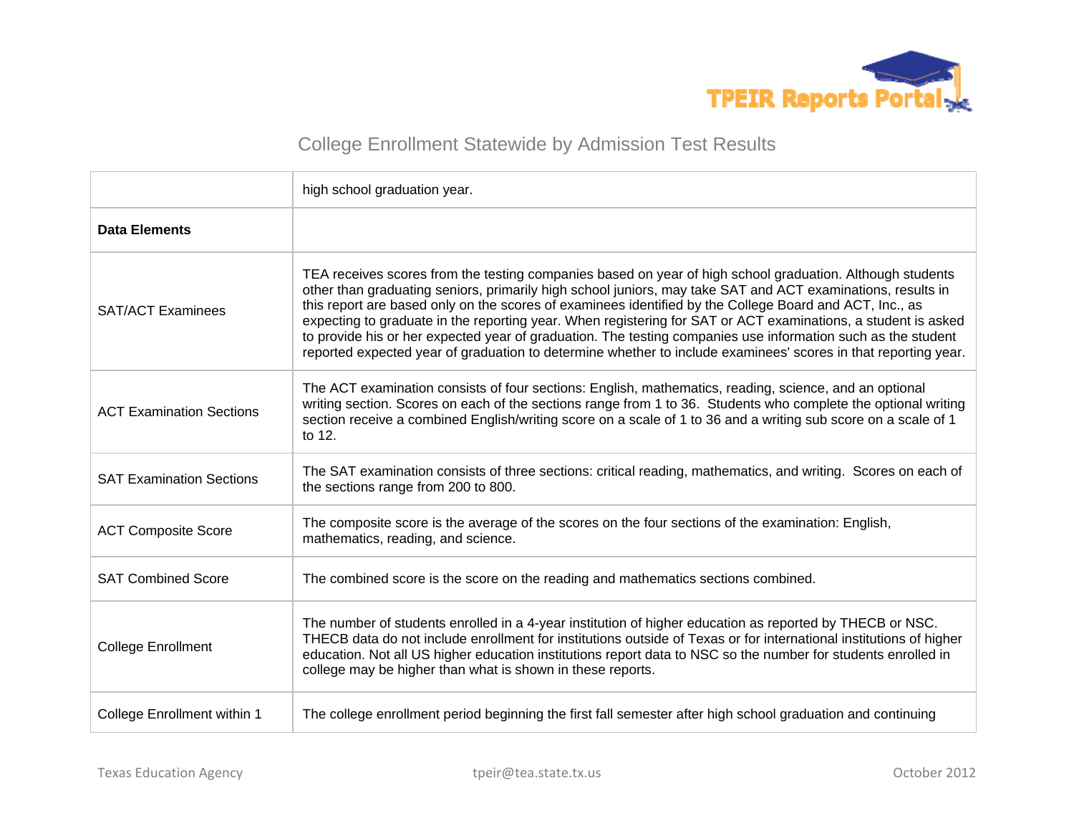

|                                 | high school graduation year.                                                                                                                                                                                                                                                                                                                                                                                                                                                                                                                                                                                                                                                           |
|---------------------------------|----------------------------------------------------------------------------------------------------------------------------------------------------------------------------------------------------------------------------------------------------------------------------------------------------------------------------------------------------------------------------------------------------------------------------------------------------------------------------------------------------------------------------------------------------------------------------------------------------------------------------------------------------------------------------------------|
| <b>Data Elements</b>            |                                                                                                                                                                                                                                                                                                                                                                                                                                                                                                                                                                                                                                                                                        |
| <b>SAT/ACT Examinees</b>        | TEA receives scores from the testing companies based on year of high school graduation. Although students<br>other than graduating seniors, primarily high school juniors, may take SAT and ACT examinations, results in<br>this report are based only on the scores of examinees identified by the College Board and ACT, Inc., as<br>expecting to graduate in the reporting year. When registering for SAT or ACT examinations, a student is asked<br>to provide his or her expected year of graduation. The testing companies use information such as the student<br>reported expected year of graduation to determine whether to include examinees' scores in that reporting year. |
| <b>ACT Examination Sections</b> | The ACT examination consists of four sections: English, mathematics, reading, science, and an optional<br>writing section. Scores on each of the sections range from 1 to 36. Students who complete the optional writing<br>section receive a combined English/writing score on a scale of 1 to 36 and a writing sub score on a scale of 1<br>to 12.                                                                                                                                                                                                                                                                                                                                   |
| <b>SAT Examination Sections</b> | The SAT examination consists of three sections: critical reading, mathematics, and writing. Scores on each of<br>the sections range from 200 to 800.                                                                                                                                                                                                                                                                                                                                                                                                                                                                                                                                   |
| <b>ACT Composite Score</b>      | The composite score is the average of the scores on the four sections of the examination: English,<br>mathematics, reading, and science.                                                                                                                                                                                                                                                                                                                                                                                                                                                                                                                                               |
| <b>SAT Combined Score</b>       | The combined score is the score on the reading and mathematics sections combined.                                                                                                                                                                                                                                                                                                                                                                                                                                                                                                                                                                                                      |
| <b>College Enrollment</b>       | The number of students enrolled in a 4-year institution of higher education as reported by THECB or NSC.<br>THECB data do not include enrollment for institutions outside of Texas or for international institutions of higher<br>education. Not all US higher education institutions report data to NSC so the number for students enrolled in<br>college may be higher than what is shown in these reports.                                                                                                                                                                                                                                                                          |
| College Enrollment within 1     | The college enrollment period beginning the first fall semester after high school graduation and continuing                                                                                                                                                                                                                                                                                                                                                                                                                                                                                                                                                                            |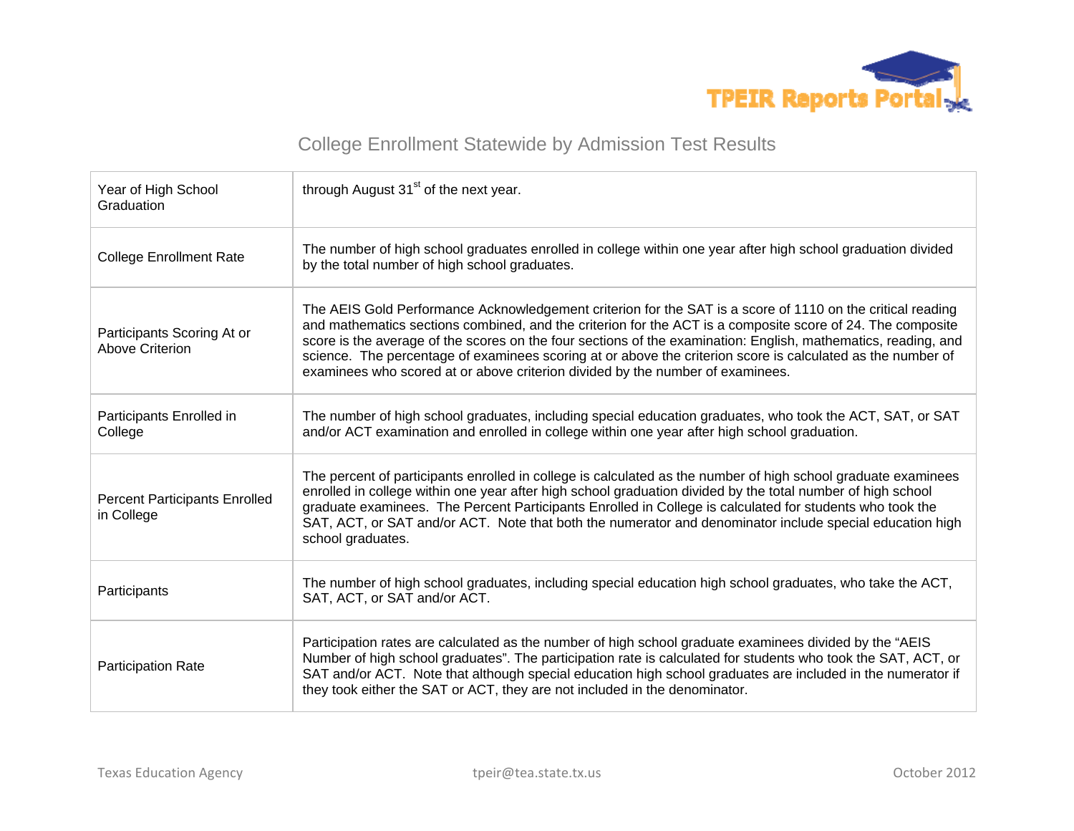

| Year of High School<br>Graduation                    | through August 31 <sup>st</sup> of the next year.                                                                                                                                                                                                                                                                                                                                                                                                                                                                                           |
|------------------------------------------------------|---------------------------------------------------------------------------------------------------------------------------------------------------------------------------------------------------------------------------------------------------------------------------------------------------------------------------------------------------------------------------------------------------------------------------------------------------------------------------------------------------------------------------------------------|
| <b>College Enrollment Rate</b>                       | The number of high school graduates enrolled in college within one year after high school graduation divided<br>by the total number of high school graduates.                                                                                                                                                                                                                                                                                                                                                                               |
| Participants Scoring At or<br><b>Above Criterion</b> | The AEIS Gold Performance Acknowledgement criterion for the SAT is a score of 1110 on the critical reading<br>and mathematics sections combined, and the criterion for the ACT is a composite score of 24. The composite<br>score is the average of the scores on the four sections of the examination: English, mathematics, reading, and<br>science. The percentage of examinees scoring at or above the criterion score is calculated as the number of<br>examinees who scored at or above criterion divided by the number of examinees. |
| Participants Enrolled in<br>College                  | The number of high school graduates, including special education graduates, who took the ACT, SAT, or SAT<br>and/or ACT examination and enrolled in college within one year after high school graduation.                                                                                                                                                                                                                                                                                                                                   |
| <b>Percent Participants Enrolled</b><br>in College   | The percent of participants enrolled in college is calculated as the number of high school graduate examinees<br>enrolled in college within one year after high school graduation divided by the total number of high school<br>graduate examinees. The Percent Participants Enrolled in College is calculated for students who took the<br>SAT, ACT, or SAT and/or ACT. Note that both the numerator and denominator include special education high<br>school graduates.                                                                   |
| Participants                                         | The number of high school graduates, including special education high school graduates, who take the ACT,<br>SAT, ACT, or SAT and/or ACT.                                                                                                                                                                                                                                                                                                                                                                                                   |
| Participation Rate                                   | Participation rates are calculated as the number of high school graduate examinees divided by the "AEIS"<br>Number of high school graduates". The participation rate is calculated for students who took the SAT, ACT, or<br>SAT and/or ACT. Note that although special education high school graduates are included in the numerator if<br>they took either the SAT or ACT, they are not included in the denominator.                                                                                                                      |